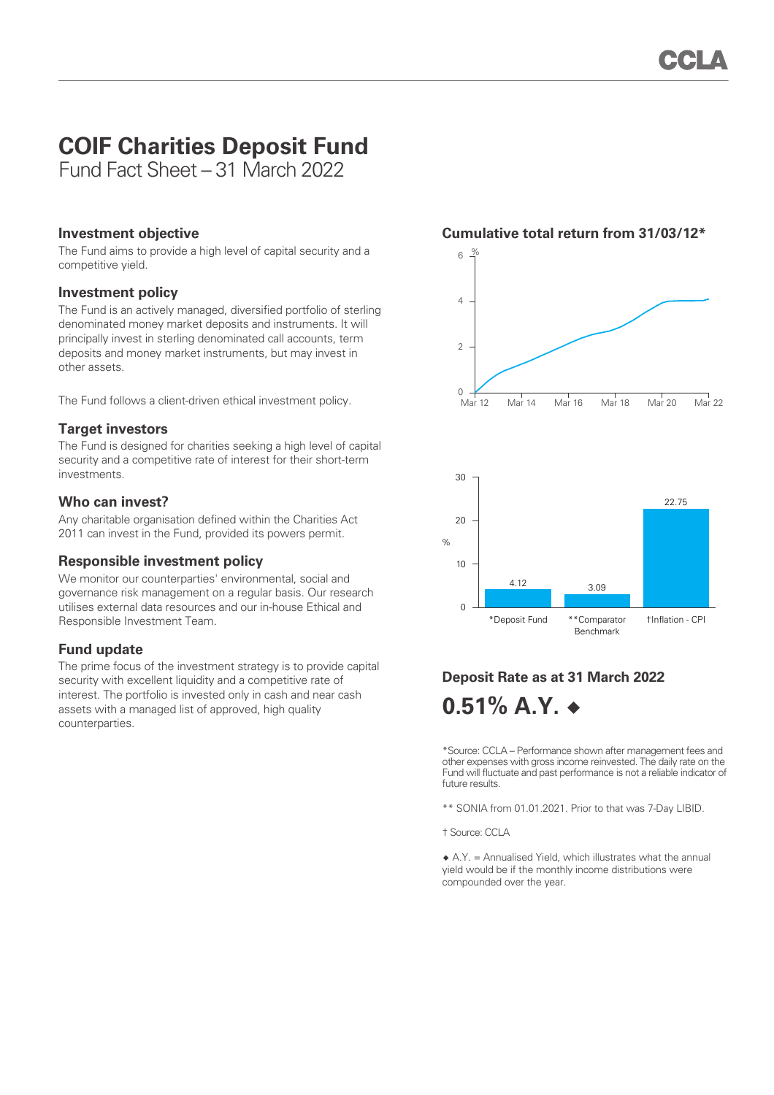# **COIF Charities Deposit Fund**

Fund Fact Sheet – 31 March 2022

#### **Investment objective**

The Fund aims to provide a high level of capital security and a competitive yield.

#### **Investment policy**

The Fund is an actively managed, diversified portfolio of sterling denominated money market deposits and instruments. It will principally invest in sterling denominated call accounts, term deposits and money market instruments, but may invest in other assets.

The Fund follows a client-driven ethical investment policy.

### **Target investors**

The Fund is designed for charities seeking a high level of capital security and a competitive rate of interest for their short-term investments.

#### **Who can invest?**

Any charitable organisation defined within the Charities Act 2011 can invest in the Fund, provided its powers permit.

### **Responsible investment policy**

We monitor our counterparties' environmental, social and governance risk management on a regular basis. Our research utilises external data resources and our in-house Ethical and Responsible Investment Team.

### **Fund update**

The prime focus of the investment strategy is to provide capital security with excellent liquidity and a competitive rate of interest. The portfolio is invested only in cash and near cash assets with a managed list of approved, high quality counterparties.





## **Deposit Rate as at 31 March 2022 0.51% A.Y. ◆**

\*Source: CCLA – Performance shown after management fees and other expenses with gross income reinvested. The daily rate on the Fund will fluctuate and past performance is not a reliable indicator of future results.

\*\* SONIA from 01.01.2021. Prior to that was 7-Day LIBID.

† Source: CCLA

 $\triangle$  A.Y. = Annualised Yield, which illustrates what the annual yield would be if the monthly income distributions were compounded over the year.